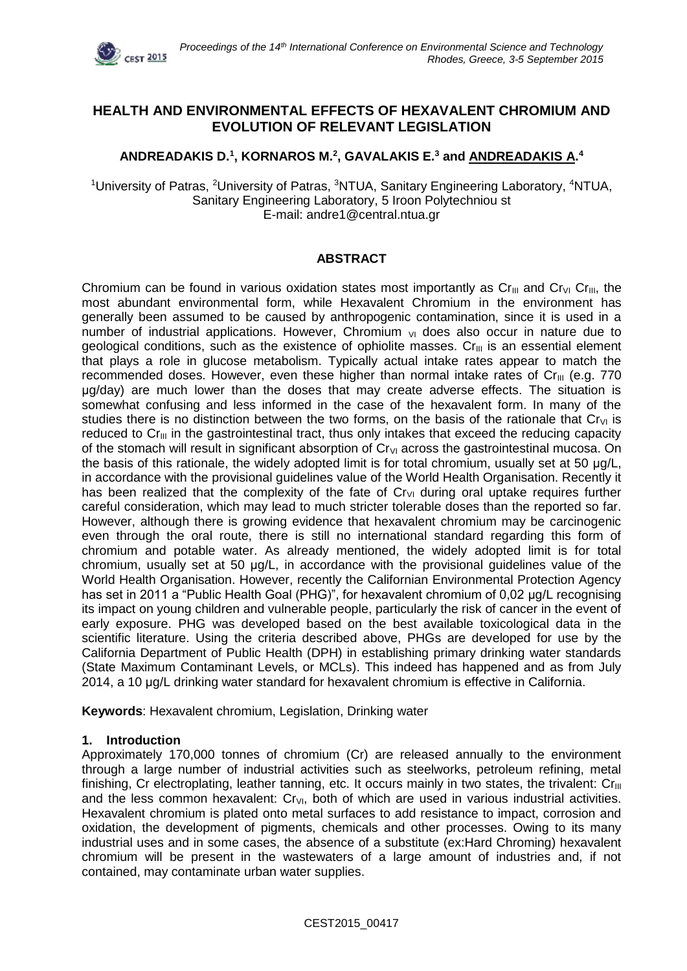

# **HEALTH AND ENVIRONMENTAL EFFECTS OF HEXAVALENT CHROMIUM AND EVOLUTION OF RELEVANT LEGISLATION**

# **ANDREADAKIS D. 1 , KORNAROS M.<sup>2</sup> , GAVALAKIS E.<sup>3</sup> and ANDREADAKIS A. 4**

<sup>1</sup>University of Patras, <sup>2</sup>University of Patras, <sup>3</sup>NTUA, Sanitary Engineering Laboratory, <sup>4</sup>NTUA, Sanitary Engineering Laboratory, 5 Iroon Polytechniou st E-mail: andre1@central.ntua.gr

### **ABSTRACT**

Chromium can be found in various oxidation states most importantly as  $Cr_{II}$  and  $Cr_{VI}$  Cr<sub>III</sub>, the most abundant environmental form, while Hexavalent Chromium in the environment has generally been assumed to be caused by anthropogenic contamination, since it is used in a number of industrial applications. However, Chromium  $v<sub>II</sub>$  does also occur in nature due to geological conditions, such as the existence of ophiolite masses.  $Cr_{III}$  is an essential element that plays a role in glucose metabolism. Typically actual intake rates appear to match the recommended doses. However, even these higher than normal intake rates of  $Cr_{III}$  (e.g. 770) μg/day) are much lower than the doses that may create adverse effects. The situation is somewhat confusing and less informed in the case of the hexavalent form. In many of the studies there is no distinction between the two forms, on the basis of the rationale that  $Cr_{VI}$  is reduced to  $Cr_{III}$  in the gastrointestinal tract, thus only intakes that exceed the reducing capacity of the stomach will result in significant absorption of  $Cr<sub>VI</sub>$  across the gastrointestinal mucosa. On the basis of this rationale, the widely adopted limit is for total chromium, usually set at 50 μg/L, in accordance with the provisional guidelines value of the World Health Organisation. Recently it has been realized that the complexity of the fate of  $Cr_{VI}$  during oral uptake requires further careful consideration, which may lead to much stricter tolerable doses than the reported so far. However, although there is growing evidence that hexavalent chromium may be carcinogenic even through the oral route, there is still no international standard regarding this form of chromium and potable water. As already mentioned, the widely adopted limit is for total chromium, usually set at 50 μg/L, in accordance with the provisional guidelines value of the World Health Organisation. However, recently the Californian Environmental Protection Agency has set in 2011 a "Public Health Goal (PHG)", for hexavalent chromium of 0,02 μg/L recognising its impact on young children and vulnerable people, particularly the risk of cancer in the event of early exposure. PHG was developed based on the best available toxicological data in the scientific literature. Using the criteria described above, PHGs are developed for use by the California Department of Public Health (DPH) in establishing primary drinking water standards (State Maximum Contaminant Levels, or MCLs). This indeed has happened and as from July 2014, a 10 μg/L drinking water standard for hexavalent chromium is effective in California.

**Keywords**: Hexavalent chromium, Legislation, Drinking water

#### **1. Introduction**

Approximately 170,000 tonnes of chromium (Cr) are released annually to the environment through a large number of industrial activities such as steelworks, petroleum refining, metal finishing, Cr electroplating, leather tanning, etc. It occurs mainly in two states, the trivalent: Cr<sub>III</sub> and the less common hexavalent:  $Cr_{VI}$ , both of which are used in various industrial activities. Hexavalent chromium is plated onto metal surfaces to add resistance to impact, corrosion and oxidation, the development of pigments, chemicals and other processes. Owing to its many industrial uses and in some cases, the absence of a substitute (ex:Hard Chroming) hexavalent chromium will be present in the wastewaters of a large amount of industries and, if not contained, may contaminate urban water supplies.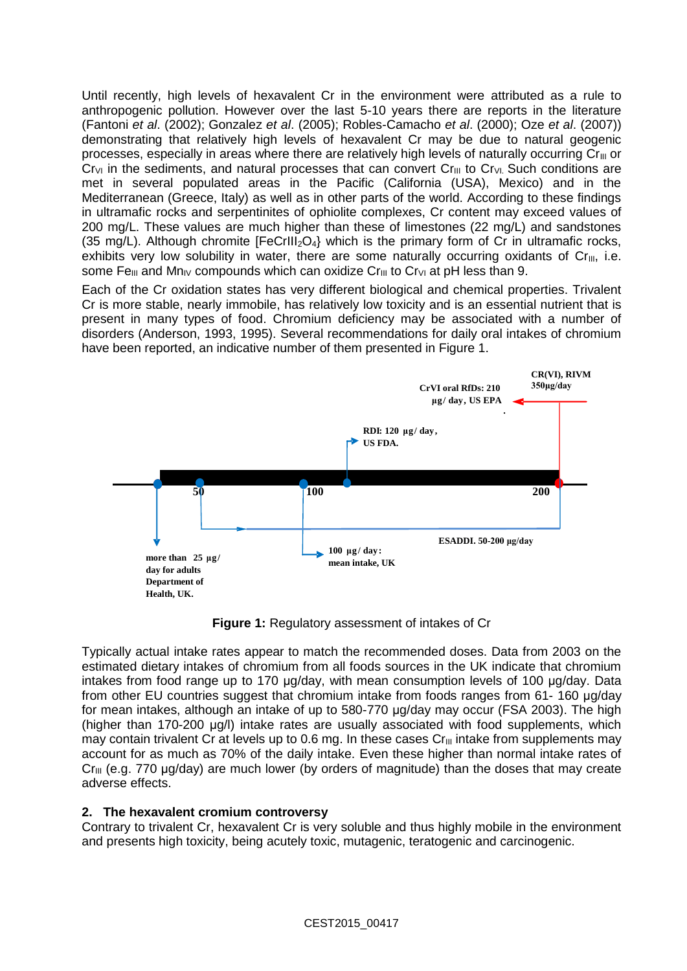Until recently, high levels of hexavalent Cr in the environment were attributed as a rule to anthropogenic pollution. However over the last 5-10 years there are reports in the literature (Fantoni *et al*. (2002); Gonzalez *et al*. (2005); Robles-Camacho *et al*. (2000); Oze *et al*. (2007)) demonstrating that relatively high levels of hexavalent Cr may be due to natural geogenic processes, especially in areas where there are relatively high levels of naturally occurring  $Cr_{III}$  or  $Cr_{VI}$  in the sediments, and natural processes that can convert  $Cr_{III}$  to  $Cr_{VI}$  Such conditions are met in several populated areas in the Pacific (California (USA), Mexico) and in the Mediterranean (Greece, Italy) as well as in other parts of the world. According to these findings in ultramafic rocks and serpentinites of ophiolite complexes, Cr content may exceed values of 200 mg/L. These values are much higher than these of limestones (22 mg/L) and sandstones (35 mg/L). Although chromite  $[FeCrIII<sub>2</sub>O<sub>4</sub>]$  which is the primary form of Cr in ultramafic rocks, exhibits very low solubility in water, there are some naturally occurring oxidants of  $Cr_{III}$ , i.e. some Fe<sub>III</sub> and Mn<sub>IV</sub> compounds which can oxidize Cr<sub>III</sub> to Cr<sub>VI</sub> at pH less than 9.

Each of the Cr oxidation states has very different biological and chemical properties. Trivalent Cr is more stable, nearly immobile, has relatively low toxicity and is an essential nutrient that is present in many types of food. Chromium deficiency may be associated with a number of disorders (Anderson, 1993, 1995). Several recommendations for daily oral intakes of chromium have been reported, an indicative number of them presented in Figure 1.



**Figure 1:** Regulatory assessment of intakes of Cr

Typically actual intake rates appear to match the recommended doses. Data from 2003 on the estimated dietary intakes of chromium from all foods sources in the UK indicate that chromium intakes from food range up to 170 μg/day, with mean consumption levels of 100 μg/day. Data from other EU countries suggest that chromium intake from foods ranges from 61-160 µg/day for mean intakes, although an intake of up to 580-770 μg/day may occur (FSA 2003). The high (higher than 170-200 μg/l) intake rates are usually associated with food supplements, which may contain trivalent Cr at levels up to 0.6 mg. In these cases  $Cr_{III}$  intake from supplements may account for as much as 70% of the daily intake. Even these higher than normal intake rates of  $Cr_{III}$  (e.g. 770 µg/day) are much lower (by orders of magnitude) than the doses that may create adverse effects.

### **2. The hexavalent cromium controversy**

Contrary to trivalent Cr, hexavalent Cr is very soluble and thus highly mobile in the environment and presents high toxicity, being acutely toxic, mutagenic, teratogenic and carcinogenic.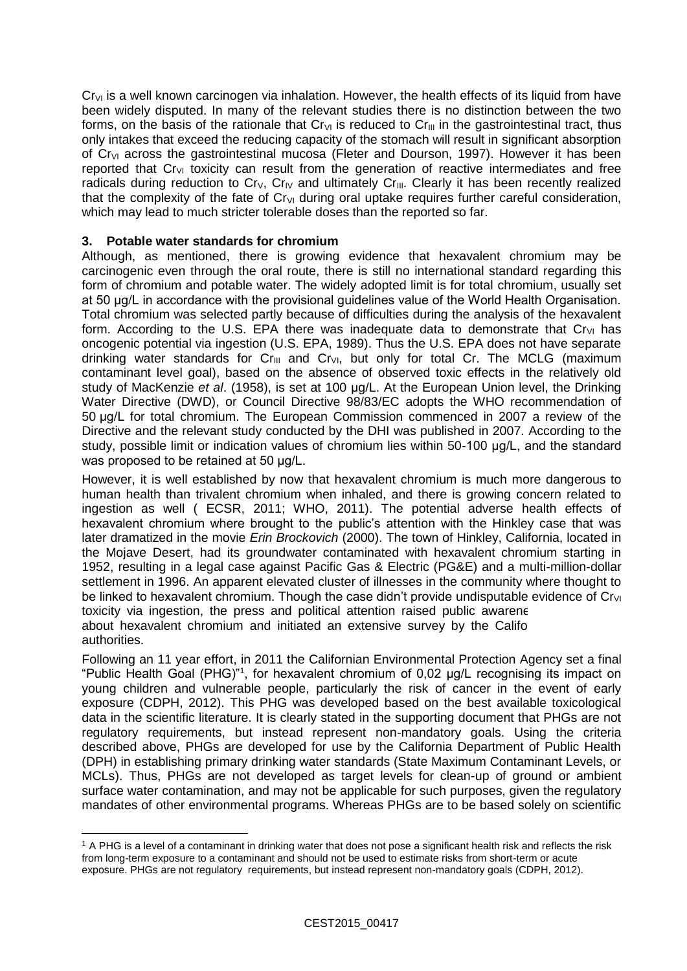$C_{\text{IV}}$  is a well known carcinogen via inhalation. However, the health effects of its liquid from have been widely disputed. In many of the relevant studies there is no distinction between the two forms, on the basis of the rationale that  $Cr_{VI}$  is reduced to  $Cr_{III}$  in the gastrointestinal tract, thus only intakes that exceed the reducing capacity of the stomach will result in significant absorption of Cr<sub>VI</sub> across the gastrointestinal mucosa (Fleter and Dourson, 1997). However it has been reported that  $Cr_{VI}$  toxicity can result from the generation of reactive intermediates and free radicals during reduction to  $Cr_V$ ,  $Cr_{IV}$  and ultimately  $Cr_{III}$ . Clearly it has been recently realized that the complexity of the fate of  $Cr_{VI}$  during oral uptake requires further careful consideration, which may lead to much stricter tolerable doses than the reported so far.

## **3. Potable water standards for chromium**

 $\overline{a}$ 

Although, as mentioned, there is growing evidence that hexavalent chromium may be carcinogenic even through the oral route, there is still no international standard regarding this form of chromium and potable water. The widely adopted limit is for total chromium, usually set at 50 μg/L in accordance with the provisional guidelines value of the World Health Organisation. Total chromium was selected partly because of difficulties during the analysis of the hexavalent form. According to the U.S. EPA there was inadequate data to demonstrate that  $Cr_{VI}$  has oncogenic potential via ingestion (U.S. EPA, 1989). Thus the U.S. EPA does not have separate drinking water standards for  $Cr_{III}$  and  $Cr_{VI}$ , but only for total Cr. The MCLG (maximum contaminant level goal), based on the absence of observed toxic effects in the relatively old study of MacKenzie *et al*. (1958), is set at 100 μg/L. At the European Union level, the Drinking Water Directive (DWD), or Council Directive 98/83/EC adopts the WHO recommendation of 50 μg/L for total chromium. The European Commission commenced in 2007 a review of the Directive and the relevant study conducted by the DHI was published in 2007. According to the study, possible limit or indication values of chromium lies within 50-100 μg/L, and the standard was proposed to be retained at 50 μg/L.

However, it is well established by now that hexavalent chromium is much more dangerous to human health than trivalent chromium when inhaled, and there is growing concern related to ingestion as well ( ECSR, 2011; WHO, 2011). The potential adverse health effects of hexavalent chromium where brought to the public's attention with the Hinkley case that was later dramatized in the movie *Erin Brockovich* (2000). The town of Hinkley, California, located in the Mojave Desert, had its groundwater contaminated with hexavalent chromium starting in 1952, resulting in a legal case against Pacific Gas & Electric (PG&E) and a multi-million-dollar settlement in 1996. An apparent elevated cluster of illnesses in the community where thought to be linked to hexavalent chromium. Though the case didn't provide undisputable evidence of Cr<sub>VI</sub> toxicity via ingestion, the press and political attention raised public awarene about hexavalent chromium and initiated an extensive survey by the Californian competent authorities.

Following an 11 year effort, in 2011 the Californian Environmental Protection Agency set a final "Public Health Goal (PHG)"<sup>1</sup> , for hexavalent chromium of 0,02 μg/L recognising its impact on young children and vulnerable people, particularly the risk of cancer in the event of early exposure (CDPH, 2012). This PHG was developed based on the best available toxicological data in the scientific literature. It is clearly stated in the supporting document that PHGs are not regulatory requirements, but instead represent non-mandatory goals. Using the criteria described above, PHGs are developed for use by the California Department of Public Health (DPH) in establishing primary drinking water standards (State Maximum Contaminant Levels, or MCLs). Thus, PHGs are not developed as target levels for clean-up of ground or ambient surface water contamination, and may not be applicable for such purposes, given the regulatory mandates of other environmental programs. Whereas PHGs are to be based solely on scientific

<sup>&</sup>lt;sup>1</sup> A PHG is a level of a contaminant in drinking water that does not pose a significant health risk and reflects the risk from long-term exposure to a contaminant and should not be used to estimate risks from short-term or acute exposure. PHGs are not regulatory requirements, but instead represent non-mandatory goals (CDPH, 2012).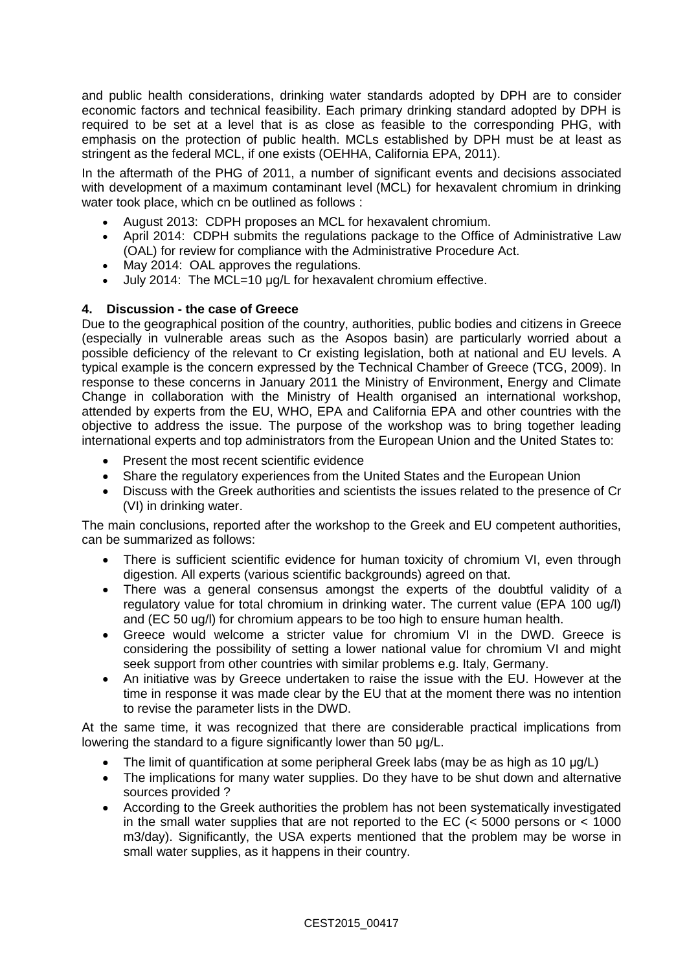and public health considerations, drinking water standards adopted by DPH are to consider economic factors and technical feasibility. Each primary drinking standard adopted by DPH is required to be set at a level that is as close as feasible to the corresponding PHG, with emphasis on the protection of public health. MCLs established by DPH must be at least as stringent as the federal MCL, if one exists (OEHHA, California EPA, 2011).

In the aftermath of the PHG of 2011, a number of significant events and decisions associated with development of a maximum contaminant level (MCL) for hexavalent chromium in drinking water took place, which cn be outlined as follows :

- August 2013: CDPH proposes an MCL for hexavalent chromium.
- April 2014: CDPH submits the regulations package to the Office of Administrative Law (OAL) for review for compliance with the Administrative Procedure Act.
- May 2014: OAL approves the regulations.
- July 2014: The MCL=10 μg/L for hexavalent chromium effective.

## **4. Discussion - the case of Greece**

Due to the geographical position of the country, authorities, public bodies and citizens in Greece (especially in vulnerable areas such as the Asopos basin) are particularly worried about a possible deficiency of the relevant to Cr existing legislation, both at national and EU levels. A typical example is the concern expressed by the Technical Chamber of Greece (TCG, 2009). In response to these concerns in January 2011 the Ministry of Environment, Energy and Climate Change in collaboration with the Ministry of Health organised an international workshop, attended by experts from the EU, WHO, EPA and California EPA and other countries with the objective to address the issue. The purpose of the workshop was to bring together leading international experts and top administrators from the European Union and the United States to:

- Present the most recent scientific evidence
- Share the regulatory experiences from the United States and the European Union
- Discuss with the Greek authorities and scientists the issues related to the presence of Cr (VI) in drinking water.

The main conclusions, reported after the workshop to the Greek and EU competent authorities, can be summarized as follows:

- There is sufficient scientific evidence for human toxicity of chromium VI, even through digestion. All experts (various scientific backgrounds) agreed on that.
- There was a general consensus amongst the experts of the doubtful validity of a regulatory value for total chromium in drinking water. The current value (EPA 100 ug/l) and (EC 50 ug/l) for chromium appears to be too high to ensure human health.
- Greece would welcome a stricter value for chromium VI in the DWD. Greece is considering the possibility of setting a lower national value for chromium VI and might seek support from other countries with similar problems e.g. Italy, Germany.
- An initiative was by Greece undertaken to raise the issue with the EU. However at the time in response it was made clear by the EU that at the moment there was no intention to revise the parameter lists in the DWD.

At the same time, it was recognized that there are considerable practical implications from lowering the standard to a figure significantly lower than 50 μg/L.

- The limit of quantification at some peripheral Greek labs (may be as high as 10 μg/L)
- The implications for many water supplies. Do they have to be shut down and alternative sources provided ?
- According to the Greek authorities the problem has not been systematically investigated in the small water supplies that are not reported to the EC  $\leq 5000$  persons or  $\leq 1000$ m3/day). Significantly, the USA experts mentioned that the problem may be worse in small water supplies, as it happens in their country.